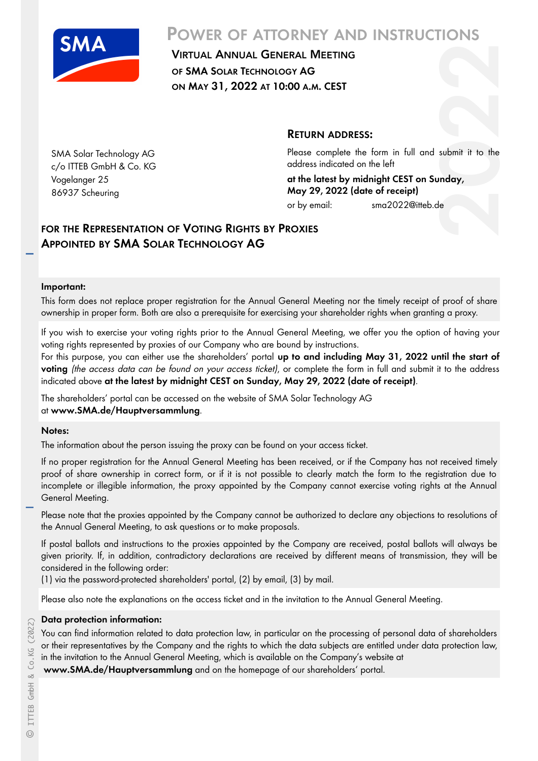

SMA Solar Technology AG c/o ITTEB GmbH & Co. KG

Vogelanger 25 86937 Scheuring

# **POWER OF ATTORNEY AND INSTRUCTIONS**

VIRTUAL ANNUAL GENERAL MEETING **OF SMA SOLAR TECHNOLOGY AG ON MAY 31, 2022 AT 10:00 A.M. CEST**

## **RETURN ADDRESS:**

**2020**<br>**2020**<br>**2020**<br>**2020**<br>**2020** Please complete the form in full and submit it to the address indicated on the left

**at the latest by midnight CEST on Sunday, May 29, 2022 (date of receipt)** or by email: sma2022@itteb.de

# **FOR THE REPRESENTATION OF V OTING RIGHTS BY PROXIES APPOINTED BY SMA SOLAR T ECHNOLOGY AG**

#### **Important:**

This form does not replace proper registration for the Annual General Meeting nor the timely receipt of proof of share ownership in proper form. Both are also a prerequisite for exercising your shareholder rights when granting a proxy.

If you wish to exercise your voting rights prior to the Annual General Meeting, we offer you the option of having your voting rights represented by proxies of our Company who are bound by instructions.

For this purpose, you can either use the shareholders' portal **up to and including May 31, 2022 until the start of** voting (the access data can be found on your access ticket), or complete the form in full and submit it to the address indicated above **at the latest by midnight CEST on Sunday, May 29, 2022 (date of receipt)**.

The shareholders' portal can be accessed on the website of SMA Solar Technology AG at **www.SMA.de/Hauptversammlung**.

#### **Notes:**

The information about the person issuing the proxy can be found on your access ticket.

If no proper registration for the Annual General Meeting has been received, or if the Company has not received timely proof of share ownership in correct form, or if it is not possible to clearly match the form to the registration due to incomplete or illegible information, the proxy appointed by the Company cannot exercise voting rights at the Annual General Meeting.

Please note that the proxies appointed by the Company cannot be authorized to declare any objections to resolutions of the Annual General Meeting, to ask questions or to make proposals.

If postal ballots and instructions to the proxies appointed by the Company are received, postal ballots will always be given priority. If, in addition, contradictory declarations are received by different means of transmission, they will be considered in the following order:

(1) via the password-protected shareholders' portal, (2) by email, (3) by mail.

Please also note the explanations on the access ticket and in the invitation to the Annual General Meeting.

#### **Data protection information:**

You can find information related to data protection law, in particular on the processing of personal data of shareholders or their representatives by the Company and the rights to which the data subjects are entitled under data protection law, in the invitation to the Annual General Meeting, which is available on the Company's website at

**www.SMA.de/Hauptversammlung** and on the homepage of our shareholders' portal.